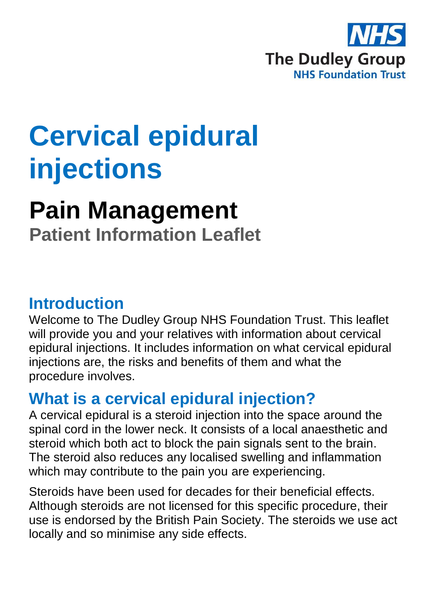

# **Cervical epidural injections**

# **Pain Management**

**Patient Information Leaflet**

### **Introduction**

Welcome to The Dudley Group NHS Foundation Trust. This leaflet will provide you and your relatives with information about cervical epidural injections. It includes information on what cervical epidural injections are, the risks and benefits of them and what the procedure involves.

# **What is a cervical epidural injection?**

A cervical epidural is a steroid injection into the space around the spinal cord in the lower neck. It consists of a local anaesthetic and steroid which both act to block the pain signals sent to the brain. The steroid also reduces any localised swelling and inflammation which may contribute to the pain you are experiencing.

Steroids have been used for decades for their beneficial effects. Although steroids are not licensed for this specific procedure, their use is endorsed by the British Pain Society. The steroids we use act locally and so minimise any side effects.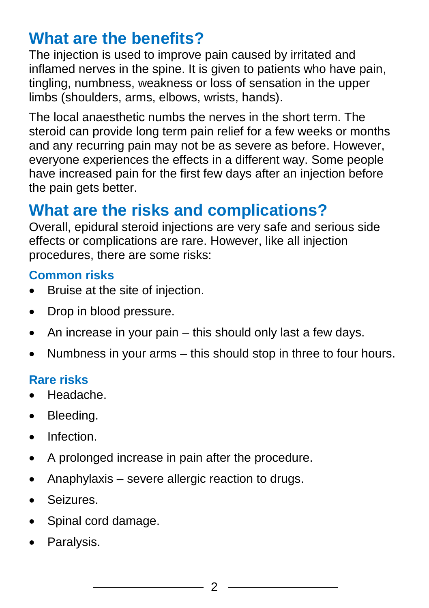# **What are the benefits?**

The injection is used to improve pain caused by irritated and inflamed nerves in the spine. It is given to patients who have pain, tingling, numbness, weakness or loss of sensation in the upper limbs (shoulders, arms, elbows, wrists, hands).

The local anaesthetic numbs the nerves in the short term. The steroid can provide long term pain relief for a few weeks or months and any recurring pain may not be as severe as before. However, everyone experiences the effects in a different way. Some people have increased pain for the first few days after an injection before the pain gets better.

# **What are the risks and complications?**

Overall, epidural steroid injections are very safe and serious side effects or complications are rare. However, like all injection procedures, there are some risks:

### **Common risks**

- Bruise at the site of injection.
- Drop in blood pressure.
- $\bullet$  An increase in your pain this should only last a few days.
- Numbness in your arms this should stop in three to four hours.

### **Rare risks**

- Headache.
- Bleeding.
- **•** Infection
- A prolonged increase in pain after the procedure.
- Anaphylaxis severe allergic reaction to drugs.
- Seizures.
- Spinal cord damage.
- Paralysis.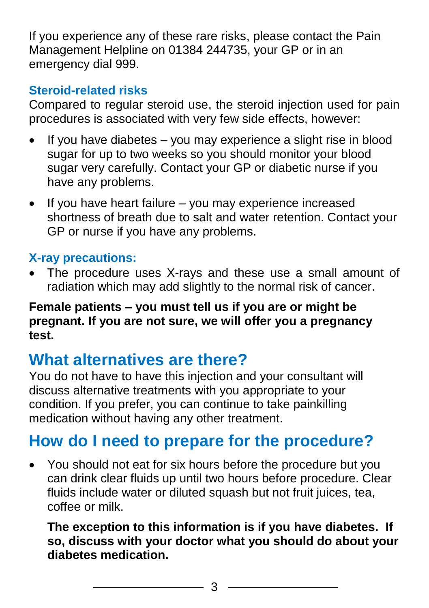If you experience any of these rare risks, please contact the Pain Management Helpline on 01384 244735, your GP or in an emergency dial 999.

### **Steroid-related risks**

Compared to regular steroid use, the steroid injection used for pain procedures is associated with very few side effects, however:

- If you have diabetes you may experience a slight rise in blood sugar for up to two weeks so you should monitor your blood sugar very carefully. Contact your GP or diabetic nurse if you have any problems.
- If you have heart failure you may experience increased shortness of breath due to salt and water retention. Contact your GP or nurse if you have any problems.

### **X-ray precautions:**

 The procedure uses X-rays and these use a small amount of radiation which may add slightly to the normal risk of cancer.

### **Female patients – you must tell us if you are or might be pregnant. If you are not sure, we will offer you a pregnancy test.**

# **What alternatives are there?**

You do not have to have this injection and your consultant will discuss alternative treatments with you appropriate to your condition. If you prefer, you can continue to take painkilling medication without having any other treatment.

# **How do I need to prepare for the procedure?**

 You should not eat for six hours before the procedure but you can drink clear fluids up until two hours before procedure. Clear fluids include water or diluted squash but not fruit juices, tea, coffee or milk.

**The exception to this information is if you have diabetes. If so, discuss with your doctor what you should do about your diabetes medication.**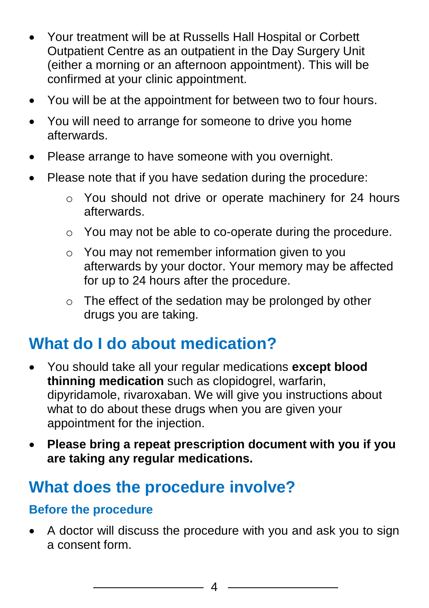- Your treatment will be at Russells Hall Hospital or Corbett Outpatient Centre as an outpatient in the Day Surgery Unit (either a morning or an afternoon appointment). This will be confirmed at your clinic appointment.
- You will be at the appointment for between two to four hours.
- You will need to arrange for someone to drive you home afterwards.
- Please arrange to have someone with you overnight.
- Please note that if you have sedation during the procedure:
	- o You should not drive or operate machinery for 24 hours afterwards.
	- o You may not be able to co-operate during the procedure.
	- o You may not remember information given to you afterwards by your doctor. Your memory may be affected for up to 24 hours after the procedure.
	- o The effect of the sedation may be prolonged by other drugs you are taking.

# **What do I do about medication?**

- You should take all your regular medications **except blood thinning medication** such as clopidogrel, warfarin, dipyridamole, rivaroxaban. We will give you instructions about what to do about these drugs when you are given your appointment for the injection.
- **Please bring a repeat prescription document with you if you are taking any regular medications.**

# **What does the procedure involve?**

### **Before the procedure**

 A doctor will discuss the procedure with you and ask you to sign a consent form.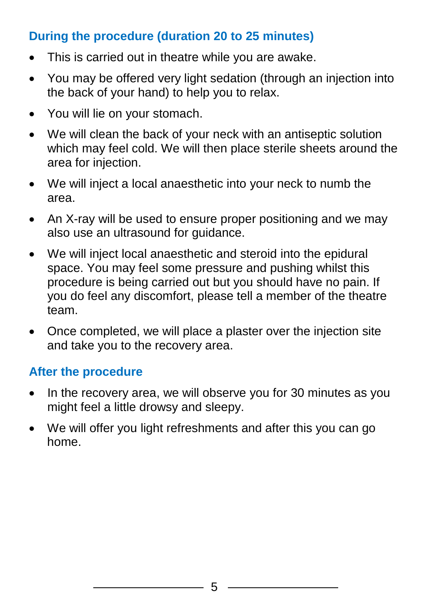### **During the procedure (duration 20 to 25 minutes)**

- This is carried out in theatre while you are awake.
- You may be offered very light sedation (through an injection into the back of your hand) to help you to relax.
- You will lie on your stomach.
- We will clean the back of your neck with an antiseptic solution which may feel cold. We will then place sterile sheets around the area for injection.
- We will inject a local anaesthetic into your neck to numb the area.
- An X-ray will be used to ensure proper positioning and we may also use an ultrasound for guidance.
- We will inject local anaesthetic and steroid into the epidural space. You may feel some pressure and pushing whilst this procedure is being carried out but you should have no pain. If you do feel any discomfort, please tell a member of the theatre team.
- Once completed, we will place a plaster over the injection site and take you to the recovery area.

### **After the procedure**

- In the recovery area, we will observe you for 30 minutes as you might feel a little drowsy and sleepy.
- We will offer you light refreshments and after this you can go home.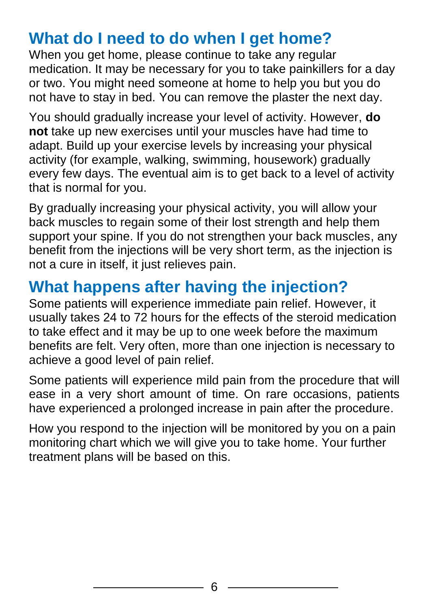# **What do I need to do when I get home?**

When you get home, please continue to take any regular medication. It may be necessary for you to take painkillers for a day or two. You might need someone at home to help you but you do not have to stay in bed. You can remove the plaster the next day.

You should gradually increase your level of activity. However, **do not** take up new exercises until your muscles have had time to adapt. Build up your exercise levels by increasing your physical activity (for example, walking, swimming, housework) gradually every few days. The eventual aim is to get back to a level of activity that is normal for you.

By gradually increasing your physical activity, you will allow your back muscles to regain some of their lost strength and help them support your spine. If you do not strengthen your back muscles, any benefit from the injections will be very short term, as the injection is not a cure in itself, it just relieves pain.

# **What happens after having the injection?**

Some patients will experience immediate pain relief. However, it usually takes 24 to 72 hours for the effects of the steroid medication to take effect and it may be up to one week before the maximum benefits are felt. Very often, more than one injection is necessary to achieve a good level of pain relief.

Some patients will experience mild pain from the procedure that will ease in a very short amount of time. On rare occasions, patients have experienced a prolonged increase in pain after the procedure.

How you respond to the injection will be monitored by you on a pain monitoring chart which we will give you to take home. Your further treatment plans will be based on this.